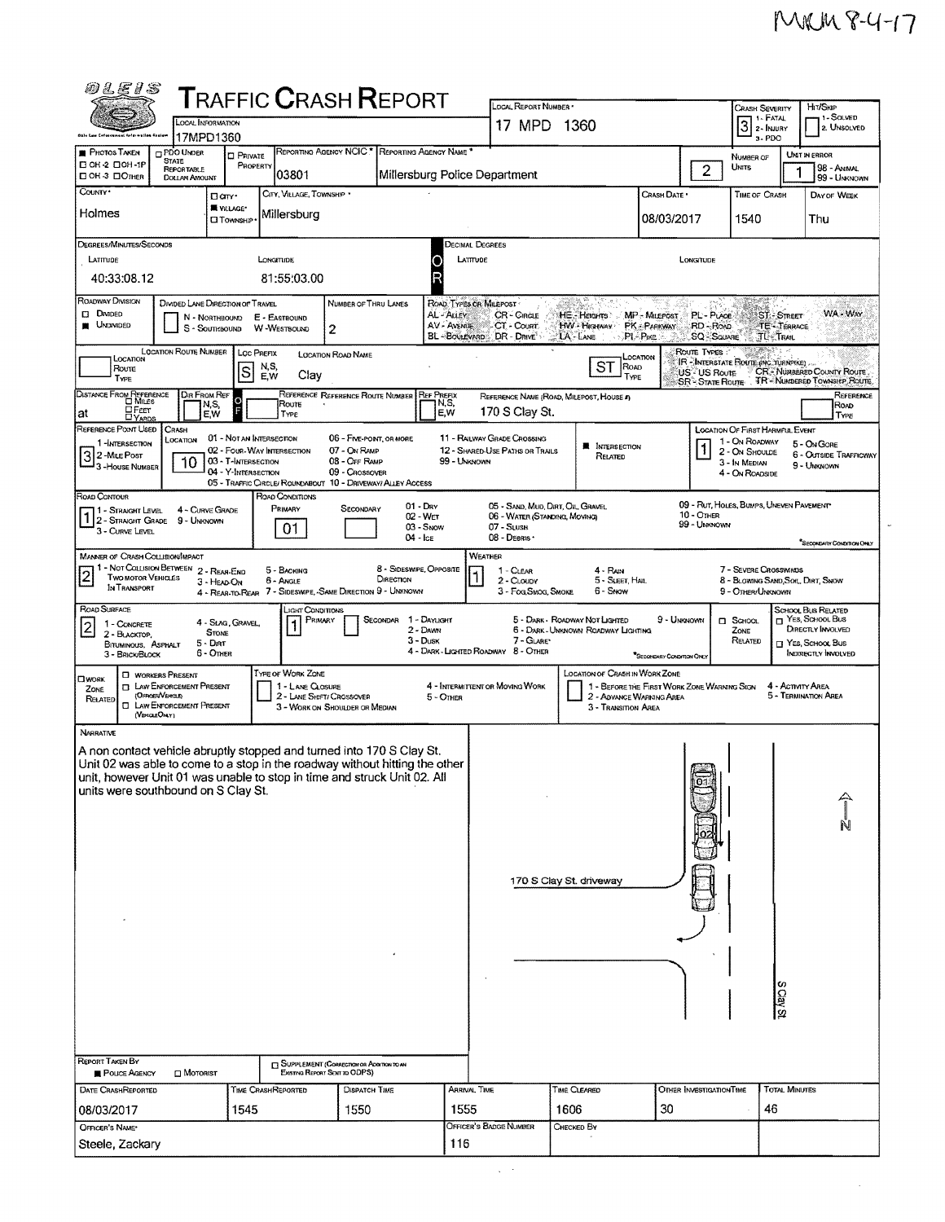$_{\rm x}$ 

| <i>01E15</i>                                                                                                                                                                                                                                                                                                                    |                                                                       |                                                                                                      |                                                                           | <b>T</b> RAFFIC <b>C</b> RASH <b>R</b> EPORT                                                                                               |                                                                |                                                     | LOCAL REPORT NUMBER                                                                           |                                                                       |                                                                         |                                                        | <b>CRASH SEVERITY</b>                                                                                          |                           | HIT/SKIP                                                                                                           |
|---------------------------------------------------------------------------------------------------------------------------------------------------------------------------------------------------------------------------------------------------------------------------------------------------------------------------------|-----------------------------------------------------------------------|------------------------------------------------------------------------------------------------------|---------------------------------------------------------------------------|--------------------------------------------------------------------------------------------------------------------------------------------|----------------------------------------------------------------|-----------------------------------------------------|-----------------------------------------------------------------------------------------------|-----------------------------------------------------------------------|-------------------------------------------------------------------------|--------------------------------------------------------|----------------------------------------------------------------------------------------------------------------|---------------------------|--------------------------------------------------------------------------------------------------------------------|
|                                                                                                                                                                                                                                                                                                                                 | LOCAL INFORMATION                                                     |                                                                                                      |                                                                           |                                                                                                                                            |                                                                | 17 MPD 1360                                         |                                                                                               | 1 - FATAL<br>3<br>2 - INJURY                                          |                                                                         | 1 - Solved<br>2. UNSOLVED                              |                                                                                                                |                           |                                                                                                                    |
| <b>PHOTOS TAKEN</b>                                                                                                                                                                                                                                                                                                             | 17MPD1360<br><b>DPDO UNDER</b>                                        | <b>D</b> PRIVATE                                                                                     |                                                                           | REPORTING AGENCY NCIC." REPORTING AGENCY NAME."                                                                                            |                                                                |                                                     |                                                                                               |                                                                       |                                                                         |                                                        | 3-PDO<br>NUMBER OF                                                                                             |                           | UNIT IN ERROR                                                                                                      |
| <b>STATE</b><br>C OH -2 CIOH -1P<br>□ OH 3 □ OTHER                                                                                                                                                                                                                                                                              | REPORTABLE<br><b>DOLLAR AMOUNT</b>                                    | PROPERTY                                                                                             | 03801                                                                     |                                                                                                                                            |                                                                |                                                     | Millersburg Police Department                                                                 |                                                                       |                                                                         | 2                                                      | <b>UNITS</b>                                                                                                   |                           | 98 - ANIMAL<br>99 - UNKNOWN                                                                                        |
| COUNTY <sup>*</sup><br>Holmes                                                                                                                                                                                                                                                                                                   | <b>Garr</b><br><b>N</b> VILLAGE*<br><b>CI TOWNSHIP</b>                |                                                                                                      | CITY, VILLAGE, TOWNSHIP *<br>Millersburg                                  |                                                                                                                                            |                                                                |                                                     |                                                                                               |                                                                       | Crash Date *<br>08/03/2017                                              |                                                        | TIME OF CRASH<br>1540                                                                                          |                           | DAY OF WEEK<br>Thu                                                                                                 |
|                                                                                                                                                                                                                                                                                                                                 |                                                                       |                                                                                                      |                                                                           |                                                                                                                                            |                                                                |                                                     |                                                                                               |                                                                       |                                                                         |                                                        |                                                                                                                |                           |                                                                                                                    |
| DEGREES/MINUTES/SECONDS<br>LATITUDE                                                                                                                                                                                                                                                                                             |                                                                       |                                                                                                      | LONGITUDE                                                                 |                                                                                                                                            |                                                                | <b>DECIMAL DEGREES</b><br>LATTUDE                   |                                                                                               |                                                                       |                                                                         | LONGITUDE                                              |                                                                                                                |                           |                                                                                                                    |
| 40:33:08.12                                                                                                                                                                                                                                                                                                                     |                                                                       |                                                                                                      | 81:55:03.00                                                               |                                                                                                                                            |                                                                | R                                                   |                                                                                               |                                                                       |                                                                         |                                                        |                                                                                                                |                           |                                                                                                                    |
| ROADWAY DIVISION<br><b>D</b> DMDED<br><b>UNDIVIDED</b>                                                                                                                                                                                                                                                                          | DIVIDED LANE DIRECTION OF TRAVEL<br>N - NORTHBOUND<br>S - Southbound  |                                                                                                      | E - EASTBOUND<br>W-WESTBOUND                                              | NUMBER OF THRU LANES<br>2                                                                                                                  |                                                                | ROAD TYPES OR MILEPOST<br>AL - ALLEY<br>AV - AVENUE | <b>CR-CIRCLE</b><br>CT - COURT<br>BL-BOULEVARD DR-DRIVE                                       | HE. Hacims<br>HW-HIGHWAY PK-PARKWAY<br>LA-LANE                        | MP - Milepost.<br>$\rightarrow$ PL-PIKE                                 | PL-PLACE<br>$RD - R$ OAD<br><b>SQ - SOUARE</b>         | <b>TL-TRAIL</b>                                                                                                | ST - STREET<br>TE-TERRACE | WA - Way                                                                                                           |
| LOCATION<br><b>Route</b><br>TYPE                                                                                                                                                                                                                                                                                                | LOCATION ROUTE NUMBER   LOC PREFIX                                    | N,S,<br>ls<br>E,W                                                                                    | Clay                                                                      | LOCATION ROAD NAME                                                                                                                         |                                                                |                                                     |                                                                                               | ST<br>ROAD<br>TYPE                                                    | LOCATION                                                                | ROUTE TYPES:<br>US - US Route<br><b>SR</b> STATE ROUTE | IR - INTERSTATE ROUTE (NC. TURNPIKE).                                                                          |                           | CR-NUMBERED COUNTY ROUTE<br><b>TR-NUMBERED TOWNSHIP ROUTE</b>                                                      |
| DISTANCE FROM REFERENCE<br><b>H</b> FEET<br>at                                                                                                                                                                                                                                                                                  | DIR FROM REF<br>N,S,<br>E,W                                           |                                                                                                      | Route<br>TYPE                                                             | REFERENCE REFERENCE ROUTE NUMBER                                                                                                           |                                                                | <b>REF PREFIX</b><br>N,S,<br>E,W                    | 170 S Clay St.                                                                                | REFERENCE NAME (ROAD, MILEPOST, HOUSE #)                              |                                                                         |                                                        |                                                                                                                |                           | REFERENCE<br>ROAD<br>Type                                                                                          |
| REFERENCE POINT USED<br>1-INTERSECTION<br>3 2 - Mile Post<br>3 - House Number                                                                                                                                                                                                                                                   | CRASH<br>LOCATION<br>10                                               | 01 - NOT AN INTERSECTION<br>02 - Four-Way INTERSECTION<br>03 - T-INTERSECTION<br>04 - Y-INTERSECTION |                                                                           | 06 - FIVE-POINT, OR MORE<br>07 - ON RAMP<br>08 - OFF RAMP<br>09 - CROSSOVER<br>05 - TRAFFIC CIRCLE/ ROUNDABOUT 10 - DRIVEWAY/ ALLEY ACCESS |                                                                | 99 - UNKNOWN                                        | 11 - RAILWAY GRADE CROSSING<br>12 - SHARED-USE PATHS OR TRAILS                                | <b>NE INTERSECTION</b><br>Related                                     |                                                                         |                                                        | <b>LOCATION OF FIRST HARMFUL EVENT</b><br>1 - On ROADWAY<br>2 - ON SHOULDE<br>3 - In MEDIAN<br>4 - On ROADSIDE |                           | 5 - ON GORE<br>6 - OUTSIDE TRAFFICWAY<br>9 - UNKNOWN                                                               |
| ROAD CONTOUR<br>11 - Straight Level<br>12 - STRAIGHT GRADE<br>3 - CURVE LEVEL                                                                                                                                                                                                                                                   | 4 - CURVE GRADE<br>9 - UNKNOWN                                        |                                                                                                      | ROAD CONDITIONS<br>Primary<br>01                                          | SECONDARY                                                                                                                                  | $01 - \text{Drv}$<br>02 - WET<br>03 - Snow<br>$04 - \text{lc}$ |                                                     | 05 - SAND, MUD, DIRT, OIL, GRAVEL<br>06 - WATER (STANDING, MOVING)<br>07 SLUSH<br>08 - DEBRIS |                                                                       |                                                                         | $10 -$ OTHER<br>99 - UNKNOWN                           | 09 - RUT, HOLES, BUMPS, UNEVEN PAVEMENT                                                                        |                           | SFOOND AY CONDITION ONLY                                                                                           |
| <b>MANNER OF CRASH COLLISION/MPACT</b><br>11 - NOT COLLISION BETWEEN 2 - REAR-END<br>$\overline{\mathbf{c}}$<br><b>TWO MOTOR VEHICLES</b><br>IN TRANSPORT                                                                                                                                                                       | 3 - HEAD-ON                                                           |                                                                                                      | 5 - BACKING<br>6 - Angle                                                  | 4 - REAR-TO-REAR 7 - SIDESWIPE, -SAME DIRECTION 9 - UNKNOWN                                                                                | 8 - Sideswire, Opposite<br>DIRECTION                           |                                                     | WEATHER<br>1 - CLEAR<br>2 - CLOUDY<br>3 - Fog, Smog, Smoke                                    | 4 - Ran<br>5 - SLEET, HAIL<br>6 - Snow                                |                                                                         |                                                        | 7 - SEVERE CROSSWINDS<br>8 - BLOWING SAND, SOR, DIRT, SNOW<br>9 - OTHER/UNKNOWN                                |                           |                                                                                                                    |
| ROAD SURFACE<br>1 - CONCRETE<br>2 - BLACKTOP,<br>BITUMINOUS, ASPHALT<br>3 - BRICK/BLOCK                                                                                                                                                                                                                                         | 4 - SLAG, GRAVEL,<br><b>STONE</b><br>$5 -$ Dirt<br>6 - OTHER          |                                                                                                      | LIGHT CONDITIONS<br>PRIMARY                                               | SECONDAR                                                                                                                                   | 1 - Daylight<br>2 - DAWN<br>$3 - D$ usk                        |                                                     | 7 - GLARE<br>4 - DARK - LIGHTED ROADWAY 8 - OTHER                                             | 5 - DARK - ROADWAY NOT LIGHTED<br>6 - DARK - UNKNOWN ROADWAY LIGHTING | 9 - Unknown<br>*SECONDARY CONDITION ONLY                                |                                                        | $\Box$ SCHOOL<br>ZONE<br>RELATED                                                                               |                           | SCHOOL BUS RELATED<br>$\Box$ YES, SCHOOL Bus<br>DIRECTLY INVOLVED<br>$\Box$ YES, SCHOOL BUS<br>INDIRECTLY INVOLVED |
| <b>U</b> WORKERS PRESENT<br><b>CIWORK</b><br>ZONE<br>(OFFICENVERICLE)<br>RELATED<br>(VEHOLEOMY)                                                                                                                                                                                                                                 | <b>TI LAW ENFORCEMENT PRESENT</b><br><b>C LAW ENFORCEMENT PRESENT</b> |                                                                                                      | <b>TYPE OF WORK ZONE</b><br>1 - LANE CLOSURE<br>2 - LANE SHOFT/ CROSSOVER | 3 - WORK ON SHOULDER OR MEDIAN                                                                                                             |                                                                | 5 - OTHER                                           | 4 - INTERMITTENT OR MOVING WORK                                                               | LOCATION OF CRASH IN WORK ZONE<br>3 - Transition Area                 | 1 - BEFORE THE FIRST WORK ZONE WARNING SIGN<br>2 - ADVANCE WARNING AREA |                                                        |                                                                                                                | 4 - ACTIVITY AREA         | 5 - TERMINATION AREA                                                                                               |
| NARRATIVE<br>A non contact vehicle abruptly stopped and turned into 170 S Clay St.<br>Unit 02 was able to come to a stop in the roadway without hitting the other<br>unit, however Unit 01 was unable to stop in time and struck Unit 02. All<br>units were southbound on S Clay St.<br><b>REPORT TAKEN BY</b><br>POLICE AGENCY | <b>D</b> MOTORIST                                                     |                                                                                                      | Existing Report Sent to ODPS)                                             | <b>GUPPLEMENT (CORRECTION OR ADDITION TO AN</b>                                                                                            |                                                                |                                                     |                                                                                               | 170 S Clay St. driveway                                               |                                                                         | فسنله                                                  |                                                                                                                | S Clay St.                |                                                                                                                    |
| DATE CRASHREPORTED                                                                                                                                                                                                                                                                                                              |                                                                       | TIME CRASHREPORTED                                                                                   |                                                                           | DISPATCH TIME                                                                                                                              |                                                                | ARRIVAL TIME                                        |                                                                                               | TIME CLEARED                                                          |                                                                         | OTHER INVESTIGATION TIME                               |                                                                                                                | <b>TOTAL MINUTES</b>      |                                                                                                                    |
| 08/03/2017                                                                                                                                                                                                                                                                                                                      |                                                                       | 1545                                                                                                 |                                                                           | 1550                                                                                                                                       |                                                                | 1555                                                |                                                                                               | 1606                                                                  | 30                                                                      |                                                        | 46                                                                                                             |                           |                                                                                                                    |
| OFFICER'S NAME*<br>Steele, Zackary                                                                                                                                                                                                                                                                                              |                                                                       |                                                                                                      |                                                                           |                                                                                                                                            |                                                                | 116                                                 | OFFICER'S BADGE NUMBER                                                                        | CHECKED BY                                                            |                                                                         |                                                        |                                                                                                                |                           |                                                                                                                    |
|                                                                                                                                                                                                                                                                                                                                 |                                                                       |                                                                                                      |                                                                           |                                                                                                                                            |                                                                |                                                     |                                                                                               |                                                                       |                                                                         |                                                        |                                                                                                                |                           |                                                                                                                    |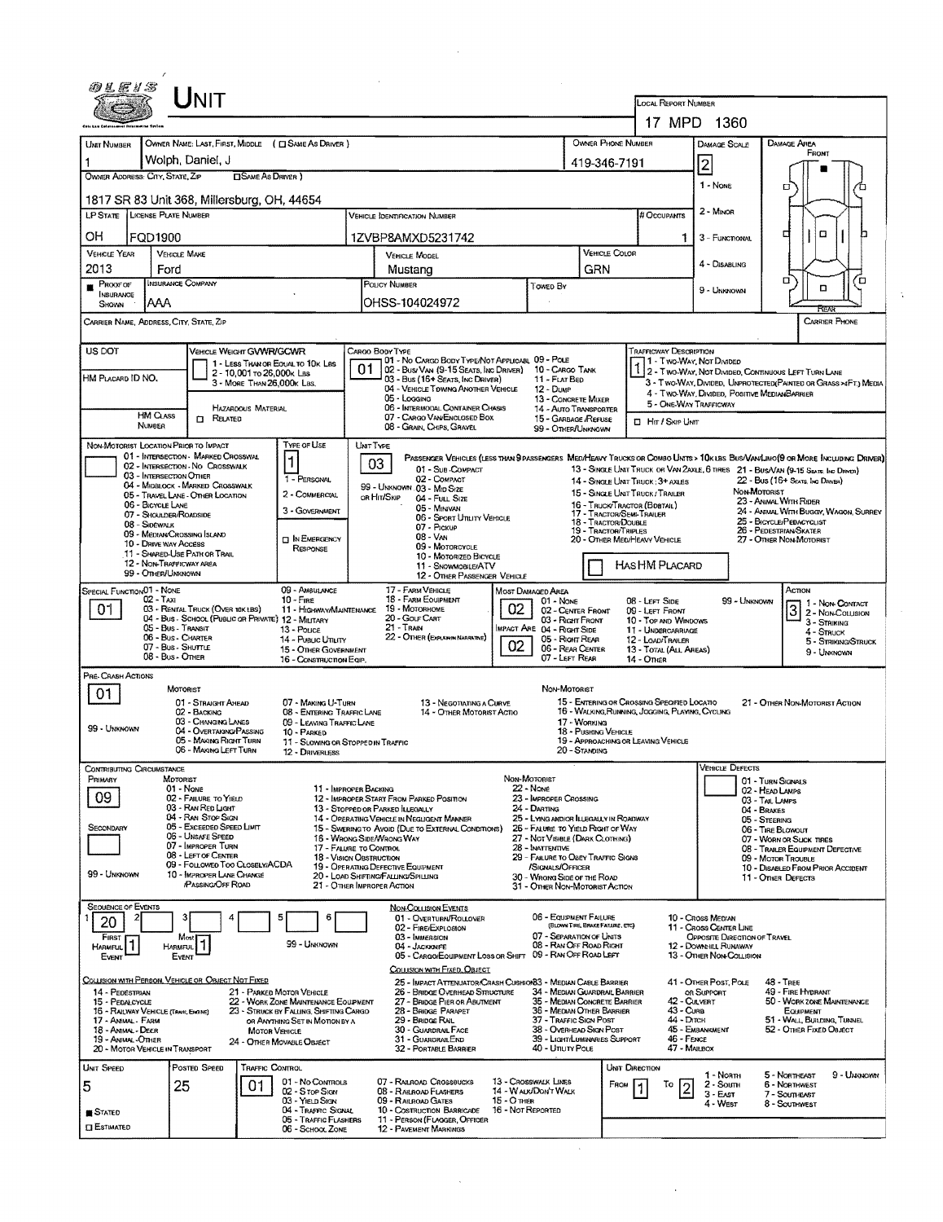|                                                                                                                                                                                      |                       |                                                                                         |                                                          |                                                                      |                                                                                                                       |                                                                                                                                                                                                                                                  |                                               |                                                                                            |                                       |                                                   | LOCAL REPORT NUMBER                                                                                        | 17 MPD 1360                                                                     |                                      |                                                                                                                              |  |  |  |
|--------------------------------------------------------------------------------------------------------------------------------------------------------------------------------------|-----------------------|-----------------------------------------------------------------------------------------|----------------------------------------------------------|----------------------------------------------------------------------|-----------------------------------------------------------------------------------------------------------------------|--------------------------------------------------------------------------------------------------------------------------------------------------------------------------------------------------------------------------------------------------|-----------------------------------------------|--------------------------------------------------------------------------------------------|---------------------------------------|---------------------------------------------------|------------------------------------------------------------------------------------------------------------|---------------------------------------------------------------------------------|--------------------------------------|------------------------------------------------------------------------------------------------------------------------------|--|--|--|
| <b>UMT NUMBER</b>                                                                                                                                                                    |                       |                                                                                         |                                                          | OWNER NAME: LAST, FIRST, MIDDLE ( CI SAME AS DRIVER )                |                                                                                                                       |                                                                                                                                                                                                                                                  |                                               |                                                                                            |                                       | OWNER PHONE NUMBER                                |                                                                                                            | <b>DAMAGE SCALE</b>                                                             |                                      | DAMAGE AREA                                                                                                                  |  |  |  |
|                                                                                                                                                                                      |                       | Wolph. Daniel. J                                                                        |                                                          |                                                                      |                                                                                                                       |                                                                                                                                                                                                                                                  |                                               |                                                                                            | 419-346-7191                          |                                                   |                                                                                                            | $\overline{2}$                                                                  |                                      | FRONT                                                                                                                        |  |  |  |
| OWNER ADDRESS: CITY, STATE, ZIP                                                                                                                                                      |                       |                                                                                         | <b>CISAME AS DRIVER</b> )                                |                                                                      |                                                                                                                       |                                                                                                                                                                                                                                                  |                                               |                                                                                            |                                       |                                                   |                                                                                                            | 1 - NONE                                                                        |                                      | о                                                                                                                            |  |  |  |
| 1817 SR 83 Unit 368, Millersburg, OH, 44654                                                                                                                                          |                       |                                                                                         |                                                          |                                                                      |                                                                                                                       |                                                                                                                                                                                                                                                  |                                               |                                                                                            |                                       |                                                   |                                                                                                            |                                                                                 |                                      |                                                                                                                              |  |  |  |
| LP STATE LICENSE PLATE NUMBER                                                                                                                                                        |                       |                                                                                         |                                                          |                                                                      |                                                                                                                       | <b>VEHICLE IDENTIFICATION NUMBER</b>                                                                                                                                                                                                             |                                               |                                                                                            |                                       |                                                   | # Occupants                                                                                                | 2 - Minon                                                                       |                                      |                                                                                                                              |  |  |  |
| OH                                                                                                                                                                                   | FQD1900               |                                                                                         |                                                          |                                                                      |                                                                                                                       | 1ZVBP8AMXD5231742                                                                                                                                                                                                                                |                                               |                                                                                            |                                       |                                                   | 1                                                                                                          | α<br>α                                                                          |                                      |                                                                                                                              |  |  |  |
| <b>VEHICLE YEAR</b><br>2013                                                                                                                                                          | Ford                  | <b>VEHICLE MAKE</b>                                                                     |                                                          |                                                                      |                                                                                                                       | <b>VEHICLE MODEL</b><br>Mustang                                                                                                                                                                                                                  |                                               |                                                                                            | <b>VEHICLE COLOR</b><br>GRN           |                                                   |                                                                                                            | 4 - DISABLING                                                                   |                                      |                                                                                                                              |  |  |  |
| Proof of<br>$\blacksquare$<br>INSURANCE                                                                                                                                              |                       | INSURANCE COMPANY                                                                       |                                                          |                                                                      | <b>POLICY NUMBER</b><br>Towed By                                                                                      |                                                                                                                                                                                                                                                  |                                               |                                                                                            |                                       |                                                   |                                                                                                            | 9 - UNKNOWN                                                                     | σ<br>Έ<br>۵                          |                                                                                                                              |  |  |  |
| Shown                                                                                                                                                                                | AAA                   |                                                                                         |                                                          |                                                                      |                                                                                                                       | OHSS-104024972                                                                                                                                                                                                                                   |                                               |                                                                                            |                                       |                                                   |                                                                                                            |                                                                                 |                                      | RCA                                                                                                                          |  |  |  |
| CARRIER NAME, ADDRESS, CITY, STATE, ZIP                                                                                                                                              |                       |                                                                                         |                                                          |                                                                      |                                                                                                                       |                                                                                                                                                                                                                                                  |                                               |                                                                                            |                                       |                                                   |                                                                                                            |                                                                                 |                                      | <b>CARRIER PHONE</b>                                                                                                         |  |  |  |
| US DOT                                                                                                                                                                               |                       | VEHICLE WEIGHT GVWR/GCWR                                                                |                                                          |                                                                      |                                                                                                                       | CARGO BODY TYPE<br>01 - No CARGO BODY TYPE/NOT APPLICABL 09 - POLE                                                                                                                                                                               |                                               |                                                                                            |                                       |                                                   | <b>TRAFFICWAY DESCRIPTION</b>                                                                              |                                                                                 |                                      |                                                                                                                              |  |  |  |
| HM PLACARD ID NO.                                                                                                                                                                    |                       |                                                                                         | 2 - 10,001 To 26,000 K LBS<br>3 - MORE THAN 26,000K LBS. | 1 - LESS THAN OR EQUAL TO 10K LBS                                    | 01                                                                                                                    | 02 - Bus/Van (9-15 Seats, Inc Driver)<br>03 - Bus (16+ SEATS, INC DRIVER)                                                                                                                                                                        |                                               | 10 - CARGO TANK<br>11 - FLAT BED                                                           |                                       |                                                   |                                                                                                            | 1 - Two-Way, Not Divided                                                        |                                      | 2 - Two-Way, Not Divided, Continuous LEFT TURN LANE                                                                          |  |  |  |
|                                                                                                                                                                                      |                       |                                                                                         |                                                          |                                                                      |                                                                                                                       | 04 - VEHICLE TOWING ANOTHER VEHICLE<br>05 - Logging                                                                                                                                                                                              |                                               | 12 - Dume<br><b>13 - CONCRETE MIXER</b>                                                    |                                       |                                                   |                                                                                                            | 4 - Two-WAY, DIVIDED, POSITIVE MEDIANBARRIER                                    |                                      | 3 - Two-WAY, DIVIDED, UNPROTECTED (PAINTED OR GRASS >4FT.) MEDIA                                                             |  |  |  |
|                                                                                                                                                                                      | <b>HM CLASS</b>       | $\Box$ Related                                                                          | <b>HAZARDOUS MATERIAL</b>                                |                                                                      |                                                                                                                       | 06 - INTERMODAL CONTAINER CHASIS<br>07 - CARGO VAN ENCLOSED BOX                                                                                                                                                                                  | 14 - Auto Transporter<br>15 - GARBAGE /REFUSE |                                                                                            |                                       | 5 - ONE-WAY TRAFFICWAY<br><b>D</b> Hr / Skip UNIT |                                                                                                            |                                                                                 |                                      |                                                                                                                              |  |  |  |
|                                                                                                                                                                                      | <b>NUMBER</b>         | NON-MOTORIST LOCATION PRIOR TO IMPACT                                                   |                                                          | TYPE OF USE                                                          | <b>UNIT TYPE</b>                                                                                                      | 08 - GRAIN, CHIPS, GRAVEL                                                                                                                                                                                                                        |                                               | 99 - OTHER/UNKNOWN                                                                         |                                       |                                                   |                                                                                                            |                                                                                 |                                      |                                                                                                                              |  |  |  |
|                                                                                                                                                                                      |                       | 01 - INTERSECTION - MARKED CROSSWAL<br>02 - INTERSECTION - NO CROSSWALK                 |                                                          | 1                                                                    |                                                                                                                       | 03                                                                                                                                                                                                                                               |                                               |                                                                                            |                                       |                                                   |                                                                                                            |                                                                                 |                                      | PASSENGER VEHICLES (LESS THAN PPASSENGERS MED/HEAVY TRUCKS OR COMBO UNITS > 10K LBS BUS/VAN/LIMO(9 OR MORE INCLUDING DRIVER) |  |  |  |
|                                                                                                                                                                                      |                       | 03 - INTERSECTION OTHER<br>04 - MIDBLOCK - MARKED CROSSWALK                             |                                                          | 1 - PERSONAL                                                         |                                                                                                                       | 01 - Sub-COMPACT<br>02 - COMPACT<br>99 - UNKNOWN .03 - Min Size                                                                                                                                                                                  |                                               |                                                                                            |                                       | 14 - SINGLE UNIT TRUCK: 3+ AXLES                  |                                                                                                            |                                                                                 |                                      | 13 - SINGLE UNIT TRUCK OR VAN 2AXLE, 6 TIRES 21 - BUS/VAN (9-15 SEATS, INC DRIVER)<br>22 - Bus (16+ Seats, Ing Draver)       |  |  |  |
|                                                                                                                                                                                      | 06 - BICYCLE LANE     | 05 - TRAVEL LANE - OTHER LOCATION                                                       |                                                          | 2 - COMMERCIAL<br>3 - GOVERNMENT                                     | OR HIT/SKIP<br>04 - FULL SIZE<br>05 - Minivan                                                                         |                                                                                                                                                                                                                                                  |                                               |                                                                                            |                                       |                                                   | NON-MOTORIST<br>15 - SINGLE UNIT TRUCK / TRAILER<br>23 - ANIMAL WITH RIDER<br>16 - TRUCK/TRACTOR (BOBTAIL) |                                                                                 |                                      |                                                                                                                              |  |  |  |
|                                                                                                                                                                                      | 08 - Sidewalk         | 07 - Shoulder/Roadside                                                                  |                                                          |                                                                      | 17 - TRACTOR/SEMI-TRAILER<br>06 - Sport Utility Vehicle<br>18 - TRACTOR/DOUBLE<br>07 - PICKUP<br>19 - Tractor/Triples |                                                                                                                                                                                                                                                  |                                               |                                                                                            |                                       |                                                   | 24 - ANIMAL WITH BUGGY, WAGON, SURREY<br>25 - BICYCLE/PEDACYCLIST<br>26 - PEDESTRIAN SKATER                |                                                                                 |                                      |                                                                                                                              |  |  |  |
|                                                                                                                                                                                      | 10 - DRIVE WAY ACCESS | 09 - MEDIAN CROSSING ISLAND<br>11 - SHARED-USE PATH OR TRAIL                            |                                                          | <b>DIN EMERGENCY</b><br>RESPONSE                                     |                                                                                                                       | 08 - VAN<br>20 - OTHER MEDIHEAVY VEHICLE<br>09 - MOTORCYCLE                                                                                                                                                                                      |                                               |                                                                                            |                                       |                                                   |                                                                                                            |                                                                                 | 27 - OTHER NON-MOTORIST              |                                                                                                                              |  |  |  |
|                                                                                                                                                                                      | 99 - Oner/UNKNOWN     | 12 - NON-TRAFFICWAY AREA                                                                |                                                          |                                                                      |                                                                                                                       | 10 - MOTORIZED BICYCLE<br>11 - SNOWMOBILE/ATV<br>12 - OTHER PASSENGER VEHICLE                                                                                                                                                                    |                                               |                                                                                            |                                       | HASHM PLACARD                                     |                                                                                                            |                                                                                 |                                      |                                                                                                                              |  |  |  |
| SPECIAL FUNCTION 01 - NONE                                                                                                                                                           | 02 - TAXI             |                                                                                         |                                                          | 09 - AMBULANCE<br>$10 -$ Fire                                        |                                                                                                                       | 17 - FARM VEHICLE                                                                                                                                                                                                                                |                                               | Most Damaged Area                                                                          |                                       |                                                   |                                                                                                            |                                                                                 |                                      | Астом                                                                                                                        |  |  |  |
| 01                                                                                                                                                                                   |                       | 03 - RENTAL TRUCK (OVER 10K LBS)<br>04 - Bus - SCHOOL (PUBLIC OR PRIVATE) 12 - MILITARY |                                                          | 11 - HIGHWAY/MAINTENANCE                                             | 18 - FARM EQUIPMENT<br>01 - NONE<br>02<br>19 Мотовноме<br>02 - CENTER FRONT<br>20 - Gour Cart<br>03 - Right Front     |                                                                                                                                                                                                                                                  |                                               |                                                                                            |                                       | 08 - LEFT SIDE<br>09 - LEFT FRONT                 | 10 - TOP AND WINDOWS                                                                                       |                                                                                 | 99 - UNKNOWN                         | 1 - NON-CONTACT<br>3<br>2 - NON-COLLISION                                                                                    |  |  |  |
|                                                                                                                                                                                      |                       | 05 - Bus - Transit<br>06 - Bus - CHARTER                                                |                                                          | 13 - Pouce<br>14 - Pusuc Unury                                       |                                                                                                                       | $21 -$ Train<br>22 - OTHER (EXPLANANT MARRAITIVE)                                                                                                                                                                                                |                                               | MPACT ARE 04 - RIGHT SIDE<br>05 - Right Rear                                               |                                       |                                                   | 11 - UNDERGARRIAGE<br>12 - LOAD/TRAILER                                                                    |                                                                                 |                                      | 3 - STRIKING<br>4 - STRUCK<br>5 - Striking/Struck                                                                            |  |  |  |
|                                                                                                                                                                                      |                       | 07 - Bus - SHUTTLE<br>08 - Bus - Other                                                  |                                                          | 15 - OTHER GOVERNMENT<br>16 - CONSTRUCTION EQIP.                     |                                                                                                                       |                                                                                                                                                                                                                                                  | 02                                            | 06 - REAR CENTER<br>07 - Left Rear                                                         |                                       | 14 - OTHER                                        | 13 - TOTAL (ALL AREAS)                                                                                     |                                                                                 |                                      | 9 - UNKNOWN                                                                                                                  |  |  |  |
| PRE-CRASH ACTIONS                                                                                                                                                                    |                       |                                                                                         |                                                          |                                                                      |                                                                                                                       |                                                                                                                                                                                                                                                  |                                               |                                                                                            |                                       |                                                   |                                                                                                            |                                                                                 |                                      |                                                                                                                              |  |  |  |
| 01                                                                                                                                                                                   |                       | MOTORIST<br>01 - STRAIGHT AHEAD                                                         |                                                          | 07 - MAKING U-TURN                                                   |                                                                                                                       | 13 - Negotiating a Curve                                                                                                                                                                                                                         |                                               | NON-MOTORIST                                                                               |                                       | 15 - ENTERING OR CROSSING SPECIFIED LOCATIO       |                                                                                                            |                                                                                 |                                      | 21 - OTHER NON-MOTORIST ACTION                                                                                               |  |  |  |
| 99 - UNKNOWN                                                                                                                                                                         |                       | 02 - BACKING<br>03 - CHANGING LANES                                                     |                                                          | 08 - ENTERING TRAFFIC LANE<br>09 - LEAVING TRAFFIC LANE              |                                                                                                                       | 14 - OTHER MOTORIST ACTIO                                                                                                                                                                                                                        |                                               |                                                                                            | 17 - WORKING                          | 16 - WALKING, RUNNING, JOGGING, PLAYING, CYCLING  |                                                                                                            |                                                                                 |                                      |                                                                                                                              |  |  |  |
|                                                                                                                                                                                      |                       | 04 - OVERTAKING/PASSING<br>05 - MAKING RIGHT TURN<br>06 - MAKING LEFT TURN              |                                                          | 10 - PARKED<br>11 - SLOWING OR STOPPED IN TRAFFIC<br>12 - DRIVERLESS |                                                                                                                       |                                                                                                                                                                                                                                                  |                                               |                                                                                            | 18 - PUSHING VEHICLE<br>20 - STANDING | 19 - APPROACHING OR LEAVING VEHICLE               |                                                                                                            |                                                                                 |                                      |                                                                                                                              |  |  |  |
| CONTRIBUTING CIRCUMSTANCE                                                                                                                                                            |                       |                                                                                         |                                                          |                                                                      |                                                                                                                       |                                                                                                                                                                                                                                                  |                                               |                                                                                            |                                       |                                                   |                                                                                                            | VEHICLE DEFECTS                                                                 |                                      |                                                                                                                              |  |  |  |
| PRIMARY                                                                                                                                                                              |                       | MOTORIST<br>01 - NONE                                                                   |                                                          | 11 - IMPROPER BACKING                                                |                                                                                                                       |                                                                                                                                                                                                                                                  | Non-Motorist<br>22 - Nove                     |                                                                                            |                                       |                                                   |                                                                                                            |                                                                                 | 01 - Turn Signals<br>02 - HEAD LAMPS |                                                                                                                              |  |  |  |
| 09                                                                                                                                                                                   |                       | 02 - FAILURE TO YIELD<br>03 - RAN RED LIGHT<br>04 - RAN STOP SIGN                       |                                                          |                                                                      |                                                                                                                       | 12 - IMPROPER START FROM PARKED POSITION<br>13 - Stopped or Parked Illegally                                                                                                                                                                     |                                               | 23 - IMPROPER CROSSING<br>24 - DARTING                                                     |                                       |                                                   |                                                                                                            |                                                                                 |                                      | 03 - TAIL LAMPS<br>04 - Brakes                                                                                               |  |  |  |
| SECONDARY                                                                                                                                                                            |                       | 05 - Exceeded Speed Limit<br>06 - Unsafe Speed                                          |                                                          |                                                                      |                                                                                                                       | 25 - LYING AND/OR ILLEGALLY IN ROADWAY<br>14 - OPERATING VEHICLE IN NEGLIGENT MANNER<br>26 - FALURE TO YIELD RIGHT OF WAY<br>15 - SWERING TO AVOID (DUE TO EXTERNAL CONDITIONS)<br>27 - NOT VISIBLE (DARK CLOTHING)<br>16 - WRONG SIDE/WRONG WAY |                                               |                                                                                            |                                       |                                                   | 05 - STEERING<br>06 - TIRE BLOWOUT                                                                         |                                                                                 |                                      |                                                                                                                              |  |  |  |
|                                                                                                                                                                                      |                       | 07 - IMPROPER TURN<br>08 - LEFT OF CENTER                                               |                                                          |                                                                      |                                                                                                                       | 17 - FALURE TO CONTROL<br>28 - INATTENTIVE<br>29 - FAILURE TO OBEY TRAFFIC SIGNS<br>18 - Vision OBSTRUCTION                                                                                                                                      |                                               |                                                                                            |                                       |                                                   | 07 - WORN OR SUCK TIRES<br>08 - TRAILER EQUIPMENT DEFECTIVE<br>09 - MOTOR TROUBLE                          |                                                                                 |                                      |                                                                                                                              |  |  |  |
| 99 - UNKNOWN                                                                                                                                                                         |                       | 09 - FOLLOWED TOO CLOSELY/ACDA<br>10 - IMPROPER LANE CHANGE                             |                                                          |                                                                      |                                                                                                                       | 19 - OPERATING DEFECTIVE EQUIPMENT<br>/SIGNALS/OFFICER<br>20 - LOAD SHIFTING/FALLING/SPILLING<br>- WRONG SIDE OF THE ROAD<br>30                                                                                                                  |                                               |                                                                                            |                                       |                                                   | 10 - DISABLED FROM PRIOR ACCIDENT<br>11 - OTHER DEFECTS                                                    |                                                                                 |                                      |                                                                                                                              |  |  |  |
|                                                                                                                                                                                      |                       | /PASSING/OFF ROAD                                                                       |                                                          |                                                                      |                                                                                                                       | 21 - OTHER IMPROPER ACTION                                                                                                                                                                                                                       |                                               | 31 - OTHER NON-MOTORIST ACTION                                                             |                                       |                                                   |                                                                                                            |                                                                                 |                                      |                                                                                                                              |  |  |  |
| <b>SEQUENCE OF EVENTS</b><br>2<br>20                                                                                                                                                 |                       |                                                                                         |                                                          | 6                                                                    |                                                                                                                       | <b>NON-COLLISION EVENTS</b><br>01 - Overturn/ROLLOVER                                                                                                                                                                                            |                                               | 06 - EQUIPMENT FAILURE                                                                     | (BLOWN TIRE, BRAKE FAILURE, ETC)      |                                                   |                                                                                                            | 10 - Cross Median                                                               |                                      |                                                                                                                              |  |  |  |
| FIRST<br>HARMFUL                                                                                                                                                                     |                       | Most<br>Harmful                                                                         |                                                          | 99 - Unknown                                                         |                                                                                                                       | 02 - FIRE/EXPLOSION<br>03 - IMMERSION<br>04 - JACKKNIFE                                                                                                                                                                                          |                                               | 07 - SEPARATION OF UNITS<br>08 - RAN OFF ROAD RIGHT                                        |                                       |                                                   |                                                                                                            | 11 - Cross Center LINE<br>OPPOSITE DIRECTION OF TRAVEL<br>12 - DOWNHILL RUNAWAY |                                      |                                                                                                                              |  |  |  |
| EVENT                                                                                                                                                                                |                       | EVENT                                                                                   |                                                          |                                                                      |                                                                                                                       | 05 - CARGO/EQUIPMENT LOSS OR SHIFT                                                                                                                                                                                                               |                                               | 09 - RAN OFF ROAD LEFT                                                                     |                                       |                                                   |                                                                                                            | 13 - OTHER NON-COLLISION                                                        |                                      |                                                                                                                              |  |  |  |
|                                                                                                                                                                                      |                       | COLLISION WITH PERSON, VEHICLE OR OBJECT NOT FIXED                                      |                                                          |                                                                      |                                                                                                                       | COLLISION WITH FIXED, OBJECT<br>25 - IMPACT ATTENUATOR/CRASH CUSHION 3 - MEDIAN CABLE BARRIER                                                                                                                                                    |                                               |                                                                                            |                                       |                                                   |                                                                                                            | 41 - OTHER POST, POLE                                                           |                                      | 48 - Tree                                                                                                                    |  |  |  |
| 14 - PEDESTRIAN<br>15 - PEDALCYCLE                                                                                                                                                   |                       |                                                                                         |                                                          | 21 - PARKED MOTOR VEHICLE<br>22 - WORK ZONE MAINTENANCE EQUIPMENT    |                                                                                                                       | 26 - BRIDGE OVERHEAD STRUCTURE<br>27 - BRIDGE PIER OR ABUTMENT<br>28 - BRIDGE PARAPET                                                                                                                                                            |                                               | 34 - MEDIAN GUARDRAIL BARRIER<br>35 - MEDIAN CONCRETE BARRIER<br>36 - MEDIAN OTHER BARRIER |                                       |                                                   | 42 - Culvert<br>43 - Cuna                                                                                  | OR SUPPORT                                                                      |                                      | 49 - FIRE HYDRANT<br>50 - WORK ZONE MAINTENANCE<br>EQUIPMENT                                                                 |  |  |  |
| 16 - RAILWAY VEHICLE (TRAIN, ENGINE)<br>23 - STRUCK BY FALLING, SHIFTING CARGO<br>17 - Animal - Farm<br>OR ANYTHING SET IN MOTION BY A<br>18 - Animal - Deer<br><b>MOTOR VEHICLE</b> |                       |                                                                                         |                                                          |                                                                      |                                                                                                                       | 29 - Bridge Rall<br>30 - GUARDRAIL FACE                                                                                                                                                                                                          |                                               | 37 - TRAFFIC SIGN POST<br>38 - Overhead Skan Post                                          |                                       |                                                   | 44 - Олтон                                                                                                 | 45 - EMBANKMENT                                                                 |                                      | 51 - WALL BUILDING, TUNNEL<br>52 - OTHER FIXED OBJECT                                                                        |  |  |  |
| 19 - ANIMAL-OTHER<br>20 - MOTOR VEHICLE IN TRANSPORT                                                                                                                                 |                       |                                                                                         |                                                          | 24 - OTHER MOVABLE OBJECT                                            |                                                                                                                       | 31 - GuardrailEnd<br>32 - PORTABLE BARRIER                                                                                                                                                                                                       |                                               | 39 - Light/LUMINARIES SUPPORT<br>40 - Unury Pole                                           |                                       |                                                   | 46 - FENCE<br>47 - MAILBOX                                                                                 |                                                                                 |                                      |                                                                                                                              |  |  |  |
| <b>UNIT SPEED</b>                                                                                                                                                                    |                       | POSTED SPEED                                                                            | TRAFFIC CONTROL                                          |                                                                      |                                                                                                                       |                                                                                                                                                                                                                                                  |                                               |                                                                                            |                                       | <b>UNIT DIRECTION</b>                             |                                                                                                            | 1 - Nonm                                                                        |                                      | 5 NORTHEAST<br>9 - UNKNOWN                                                                                                   |  |  |  |
| 5                                                                                                                                                                                    |                       | 25                                                                                      | 01                                                       | 01 - No Controls<br>02 - S TOP SIGN                                  |                                                                                                                       | 07 - RAILROAD CROSSBUCKS<br>08 - RAILROAD FLASHERS                                                                                                                                                                                               |                                               | <b>13 - CROSSWALK LINES</b><br><b>14 - WAUK/DON'T WALK</b>                                 |                                       | FROM                                              | То                                                                                                         | 2 - Soum<br>$3 - EAST$                                                          |                                      | 6 - NORTHWEST<br>7 - Southeast                                                                                               |  |  |  |
| <b>STATED</b>                                                                                                                                                                        |                       |                                                                                         |                                                          | 03 - YIELD SIGN<br>04 - Traffic Signal<br>05 - TRAFFIC FLASHERS      |                                                                                                                       | 09 - RAILROAD GATES<br>10 - COSTRUCTION BARRICADE<br>11 - PERSON (FLAGGER, OFFICER                                                                                                                                                               | 15 - О тнев<br>16 - Not Reported              |                                                                                            |                                       |                                                   |                                                                                                            | 4 - West                                                                        |                                      | 8 - SOUTHWEST                                                                                                                |  |  |  |
| <b>CI ESTIMATED</b>                                                                                                                                                                  |                       |                                                                                         |                                                          | 06 - SCHOOL ZONE                                                     |                                                                                                                       | 12 - PAVEMENT MARKINGS                                                                                                                                                                                                                           |                                               |                                                                                            |                                       |                                                   |                                                                                                            |                                                                                 |                                      |                                                                                                                              |  |  |  |

 $\hat{\boldsymbol{\beta}}$ 

 $\ddot{\phantom{0}}$ 

 $\sim 10^{11}$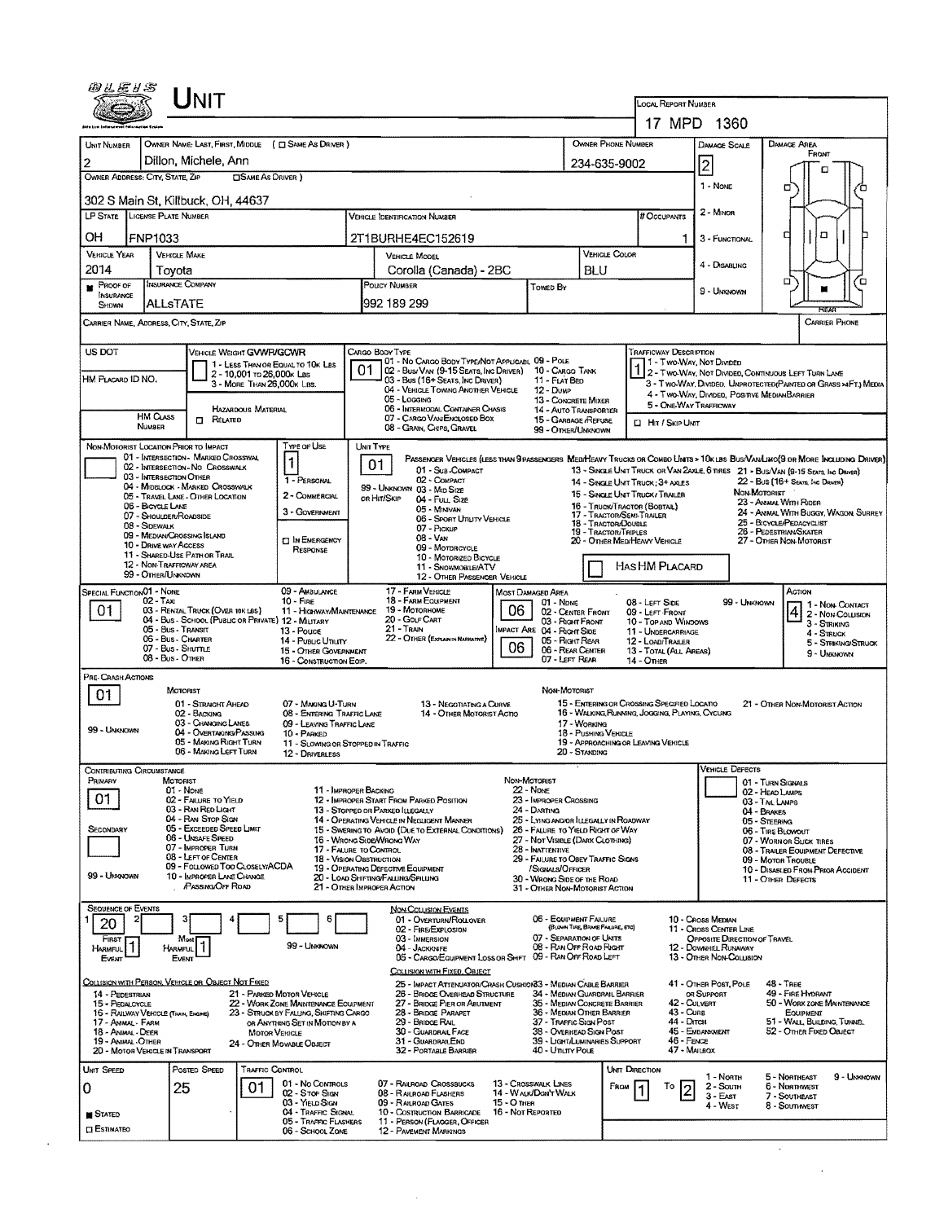| @LE1S                                                                      |                                                | <b>NIT</b>                                                            |                            |                                                                                 |           |                                                                                                        |                                                            |                                              |                                                                            |                                                                                  |                                             |                                                   |                                                                                                                               |  |
|----------------------------------------------------------------------------|------------------------------------------------|-----------------------------------------------------------------------|----------------------------|---------------------------------------------------------------------------------|-----------|--------------------------------------------------------------------------------------------------------|------------------------------------------------------------|----------------------------------------------|----------------------------------------------------------------------------|----------------------------------------------------------------------------------|---------------------------------------------|---------------------------------------------------|-------------------------------------------------------------------------------------------------------------------------------|--|
|                                                                            |                                                |                                                                       |                            |                                                                                 |           |                                                                                                        |                                                            |                                              |                                                                            | <b>LOCAL REPORT NUMBER</b>                                                       | 17 MPD 1360                                 |                                                   |                                                                                                                               |  |
| UNIT NUMBER                                                                |                                                |                                                                       |                            | OWNER NAME: LAST, FIRST, MIDDLE ( C SAME AS DRIVER )                            |           |                                                                                                        |                                                            |                                              | OWNER PHONE NUMBER                                                         |                                                                                  |                                             | DAMAGE SCALE                                      | DAMAGE AREA                                                                                                                   |  |
| 2                                                                          |                                                | Dillon, Michele, Ann                                                  |                            |                                                                                 |           | 234-635-9002                                                                                           |                                                            | FRONT                                        |                                                                            |                                                                                  |                                             |                                                   |                                                                                                                               |  |
| OWNER ADDRESS: CITY, STATE, ZIP                                            |                                                |                                                                       | <b>CISAME AS DRIVER</b> )  |                                                                                 |           |                                                                                                        | $\overline{2}$<br>1 - NONE                                 |                                              | п                                                                          |                                                                                  |                                             |                                                   |                                                                                                                               |  |
| 302 S Main St, Killbuck, OH, 44637                                         |                                                |                                                                       |                            |                                                                                 |           |                                                                                                        |                                                            |                                              |                                                                            |                                                                                  |                                             |                                                   | □                                                                                                                             |  |
| LP STATE LICENSE PLATE NUMBER                                              |                                                |                                                                       | # Occupants                | 2 - MINOR                                                                       |           |                                                                                                        |                                                            |                                              |                                                                            |                                                                                  |                                             |                                                   |                                                                                                                               |  |
| OН                                                                         | FNP1033                                        |                                                                       |                            |                                                                                 |           | 2T1BURHE4EC152619                                                                                      |                                                            |                                              |                                                                            |                                                                                  |                                             | 3 - FUNCTIONAL                                    | а<br>п                                                                                                                        |  |
| VEHICLE YEAR                                                               | <b>VEHICLE MAKE</b>                            |                                                                       |                            |                                                                                 |           | <b>VEHICLE MODEL</b>                                                                                   |                                                            |                                              | VEHICLE COLOR                                                              |                                                                                  | 4 - DISABLING                               |                                                   |                                                                                                                               |  |
| 2014<br>PROOF OF                                                           | Tovota<br>INSURANCE COMPANY                    |                                                                       |                            |                                                                                 |           | Corolla (Canada) - 2BC<br>POUCY NUMBER                                                                 |                                                            | TOWED BY                                     | BLU                                                                        |                                                                                  |                                             |                                                   | σ<br>Έ                                                                                                                        |  |
| INSURANCE<br>SHOWN                                                         | ALLsTATE                                       |                                                                       |                            |                                                                                 |           | 992 189 299                                                                                            |                                                            |                                              |                                                                            |                                                                                  | 9 - Unknown                                 |                                                   | REAP                                                                                                                          |  |
| CARRIER NAME, ADDRESS, CITY, STATE, ZIP                                    |                                                |                                                                       |                            |                                                                                 |           |                                                                                                        |                                                            |                                              |                                                                            |                                                                                  |                                             |                                                   | <b>CARRIER PHONE</b>                                                                                                          |  |
| US DOT                                                                     |                                                | VEHICLE WEIGHT GVWR/GCWR                                              |                            |                                                                                 |           | CARGO BODY TYPE                                                                                        |                                                            |                                              |                                                                            | <b>TRAFFICWAY DESCRIPTION</b>                                                    |                                             |                                                   |                                                                                                                               |  |
|                                                                            |                                                |                                                                       | 2 - 10,001 To 26,000k Las  | 1 - LESS THAN OR EQUAL TO 10K LBS                                               | 01        | 01 - No CARGO BODY TYPE/NOT APPLICABL 09 - POLE<br>02 - Bus/ Van (9-15 Seats, Inc Driver)              |                                                            | 10 - Cargo Tank                              |                                                                            |                                                                                  | 1 - Two Way, Not Divideo                    |                                                   | 2 - TWO-WAY, NOT DIVIDED, CONTINUOUS LEFT TURN LANE                                                                           |  |
| HM PLACARD ID NO.                                                          |                                                |                                                                       | 3 - MORE THAN 26,000K LBS. |                                                                                 |           | 03 - Bus (16+ Seats, Inc Driver)<br>04 - VEHICLE TOWING ANOTHER VEHICLE<br>05 - Logging                |                                                            | 11 - FLAT BED<br>12 - Dump                   |                                                                            |                                                                                  |                                             |                                                   | 3 - Two-Way, Divided, Unprotected (Painted or Grass >4FT.) Media<br>4 - TWO-WAY, DIVIDED, POSITIVE MEDIAN BARRIER             |  |
|                                                                            | HM CLASS                                       |                                                                       | HAZARDOUS MATERIAL         |                                                                                 |           | 06 - INTERMODAL CONTAINER CHASIS<br>07 - CARGO VAN ENGLOSED BOX                                        |                                                            | 13 - CONCRETE MIXER                          | 14 - AUTO TRANSPORTER                                                      |                                                                                  | 5 - ONE-WAY TRAFFICWAY                      |                                                   |                                                                                                                               |  |
|                                                                            | NUMBER                                         | $\Box$ Related                                                        |                            |                                                                                 |           | 08 - GRAIN, CHIPS, GRAVEL                                                                              |                                                            | 15 - GARBAGE /REFUSE<br>99 - OTHER/UNKNOWN   |                                                                            | <b>D</b> Hit / Skip Unit                                                         |                                             |                                                   |                                                                                                                               |  |
| NON-MOTORIST LOCATION PRIOR TO IMPACT                                      |                                                | 01 - INTERSECTION - MARKED CROSSWAL                                   |                            | TYPE OF USE<br>$\mathbf{1}$                                                     | UNIT TYPE |                                                                                                        |                                                            |                                              |                                                                            |                                                                                  |                                             |                                                   | PASSENGER VEHICLES (LESS THAN 9 PASSENGERS MEDIMEANY TRUCKS OR COMBO UNITS > 10K LBS BUS/VAN/LIMO(9 OR MORE INCLUDING DRIVER) |  |
|                                                                            | 03 - INTERSECTION OTHER                        | 02 - INTERSECTION - NO CROSSWALK                                      |                            | 1 - PERSONAL                                                                    |           | 01<br>01 - Sub COMPACT<br>02 - COMPACT                                                                 |                                                            |                                              |                                                                            |                                                                                  |                                             |                                                   | 13 - SINGLE UNIT TRUCK OR VAN 2AXLE, 6 TIRES 21 - BUS/VAN (9-15 SEATS, INC DRIVER)<br>22 - BUS (16+ Seats, Inc Drawer)        |  |
|                                                                            |                                                | 04 - MIDBLOCK - MARKED CROSSWALK<br>05 - TRAVEL LANE - OTHER LOCATION |                            | 2 - COMMERCIAL                                                                  |           | 99 - UNKNOWN 03 - MID SIZE<br>or Hit/Skip<br>04 - Full, Size                                           |                                                            |                                              |                                                                            | 14 - SINGLE UNIT TRUCK: 3+ AXLES<br>15 - SINGLE UNIT TRUCK/ TRAILER              |                                             | NON-MOTORIST                                      |                                                                                                                               |  |
|                                                                            | 06 - BICYCLE LANE<br>07 - Shoulder/ROADSIDE    |                                                                       |                            | 3 - GOVERNMENT                                                                  |           | 05 - Minivan<br>06 - Sport Unuty Vehicle                                                               |                                                            |                                              |                                                                            | 16 - TRUCK/TRACTOR (BOBTAIL)<br>17 - TRACTOR/SEMI-TRAILER<br>18 - TRACTOR/DOUBLE |                                             |                                                   | 23 - ANMAL WITH RIDER<br>24 - AVIMAL WITH BUGGY, WAGON, SURREY                                                                |  |
|                                                                            | 08 - Sidewalk<br>09 - MEDIAN/CROSSING SLAND    |                                                                       |                            | <b>EI IN EMERGENCY</b>                                                          |           | 07 - PICKUP<br>$08 - V_{AN}$                                                                           |                                                            |                                              | 19 - TRACTOR/TRIPLES                                                       | 20 - OTHER MEDIHEAVY VEHICLE                                                     |                                             |                                                   | 25 - BICYCLE/PEDACYCLIST<br>26 - PEDESTRIAN SKATER<br>27 - OTHER NON-MOTORIST                                                 |  |
|                                                                            | 10 - DRIVE WAY ACCESS                          | 11 - SHARED-USE PATH OR TRAIL                                         |                            | RESPONSE                                                                        |           | 09 - MOTORCYCLE<br>10 - MOTORIZEO BICYCLE                                                              |                                                            |                                              |                                                                            |                                                                                  |                                             |                                                   |                                                                                                                               |  |
|                                                                            | 12 - NON-TRAFFICWAY AREA<br>99 - OTHER/UNKNOWN |                                                                       |                            |                                                                                 |           | 11 - SNOVMOBILE/ATV<br>12 - OTHER PASSENGER VEHICLE                                                    | HAS HM PLACARD                                             |                                              |                                                                            |                                                                                  |                                             |                                                   |                                                                                                                               |  |
| SPECIAL FUNCTION 01 - NONE                                                 | $02 - T_Ax$                                    |                                                                       |                            | 09 - AMBULANCE<br>$10 -$ Fine                                                   |           | 17 - FARM VEHICLE<br>18 - FARM EQUIPMENT                                                               |                                                            | MOST DAMAGED AREA<br>$01 - N_{DNE}$          |                                                                            | 08 - LEFT SIDE                                                                   |                                             | 99 - UNKNOWN                                      | ACTION                                                                                                                        |  |
| 01                                                                         |                                                | 03 - RENTAL TRUCK (OVER 10K LBS)                                      |                            | 11 - HIGHWAY/MAINTENANCE<br>04 - Bus - SCHOOL (PUBLIC OR PRIVATE) 12 - MILITARY |           | 19 - Мотовноме<br>20 - GOLF CART                                                                       | 06                                                         | 02 - CENTER FRONT<br>03 - Right Front        |                                                                            | 09 - LEFT FRONT<br>10 - TOP AND WINDOWS                                          |                                             |                                                   | 1 - Non-Contact<br>$ 4 $ 2 - Non-Collision<br>$3 -$ Striking                                                                  |  |
| 05 - Bus - Transit<br>13 - Pouce<br>06 - Bus - CHARTER<br>14 - Pusuc Ununy |                                                |                                                                       |                            |                                                                                 |           | 21 - TRAN<br><b>IMPACT ARE 04 - RIGHT SIDE</b><br>22 - OTHER (EXPLAIN IN NARRATIVE)<br>05 - Right Rear |                                                            |                                              |                                                                            |                                                                                  | 11 - UNDERCARRIAGE<br>12 - LOAD/TRAILER     |                                                   | 4 - STRUCK<br>5 - Streking/Struck                                                                                             |  |
|                                                                            | 07 - Bus - Shuttle<br>08 - Bus - Other         |                                                                       |                            | 15 - OTHER GOVERNMENT<br>16 - CONSTRUCTION EQIP.                                |           |                                                                                                        | 06                                                         | 06 - REAR CENTER<br>07 - LEFT REAR           |                                                                            | 13 - TOTAL (ALL AREAS)<br>14 - Отнев                                             |                                             |                                                   | 9 - Unknown                                                                                                                   |  |
| PRE- CRASH ACTIONS                                                         |                                                |                                                                       |                            |                                                                                 |           |                                                                                                        |                                                            |                                              |                                                                            |                                                                                  |                                             |                                                   |                                                                                                                               |  |
| 01                                                                         | MOTORIST                                       | 01 - STRAIGHT AHEAD                                                   |                            | 07 - MAKING U-TURN                                                              |           | 13 - NEGOTIATING A CURVE                                                                               |                                                            | NON-MOTORIST                                 |                                                                            | 15 - ENTERING OR CROSSING SPECIFIED LOCATIO                                      |                                             |                                                   | 21 - OTHER NON-MOTORIST ACTION                                                                                                |  |
|                                                                            |                                                | 02 - BACKING<br>03 - Changing Lanes                                   |                            | 08 - ENTERING TRAFFIC LANE<br>09 - LEAVING TRAFFIC LANE                         |           | 14 - OTHER MOTORIST ACTIO                                                                              |                                                            |                                              | 17 - WORKING                                                               | 16 - WALKING, RUNNING, JOGGING, PLAYING, CYCLING                                 |                                             |                                                   |                                                                                                                               |  |
| 99 - UNKNOWN                                                               |                                                | 04 - OVERTAKING/PASSING<br>05 - MAKING RIGHT TURN                     |                            | 10 - PARKED<br>11 - SLOWING OR STOPPED IN TRAFFIC                               |           |                                                                                                        |                                                            |                                              | 18 - Pushing VEHICLE                                                       | 19 - APPROACHING OR LEAVING VEHICLE                                              |                                             |                                                   |                                                                                                                               |  |
| CONTRIBUTING CIRCUMSTANCE                                                  |                                                | 06 - MAKING LEFT TURN                                                 |                            | <b>12 - DRIVERLESS</b>                                                          |           |                                                                                                        |                                                            |                                              | 20 - STANDING                                                              |                                                                                  |                                             | <b>VEHICLE DEFECTS</b>                            |                                                                                                                               |  |
| Primary                                                                    | MOTORIST<br>01 - None                          |                                                                       |                            | 11 - IMPROPER BACKING                                                           |           |                                                                                                        | Non-Motorist                                               |                                              |                                                                            |                                                                                  |                                             |                                                   | 01 - TURN SIGNALS                                                                                                             |  |
| 01                                                                         |                                                | 02 - FAILURE TO YIELD<br>03 - RAN RED LIGHT                           |                            |                                                                                 |           | 12 - IMPROPER START FROM PARKED POSITION<br>13 - Stopped or Parked LLEGALLY                            | <b>22 - NONE</b><br>23 - IMPROPER CROSSING<br>24 - DARTING |                                              |                                                                            |                                                                                  |                                             |                                                   | 02 - HEAD LAMPS<br>03 - TAIL LAMPS                                                                                            |  |
| Secondary                                                                  |                                                | 04 - RAN STOP SIGN<br>05 - Exceeded Speed Limit                       |                            |                                                                                 |           | 14 - OPERATING VEHICLE IN NEGLIGENT MANNER<br>15 - Swering to Avoid (Due to External Conditions)       |                                                            |                                              | 25 - LYING AND/OR LLEGALLY IN ROADWAY<br>26 - FALURE TO YIELD RIGHT OF WAY |                                                                                  |                                             | 04 - BRAKES<br>05 - STEERING<br>06 - TIRE BLOWOUT |                                                                                                                               |  |
|                                                                            |                                                | 06 - UNSAFE SPEED<br>07 - IMPROPER TURN                               |                            | 17 - FALURE TO CONTROL                                                          |           | 16 - WRONG SIDE/WRONG WAY                                                                              |                                                            | 28 - INATTENTIVE                             | 27 - Not Visible (DARK Clothing)                                           |                                                                                  |                                             |                                                   | 07 - WORN OR SLICK TIRES<br>08 - TRAILER EQUIPMENT DEFECTIVE                                                                  |  |
|                                                                            |                                                | 08 - LEFT OF CENTER<br>09 - Followed Too Closelv/ACDA                 |                            | 18 - Vision OBSTRUCTION                                                         |           | 19 - OPERATING DEFECTIVE EQUIPMENT                                                                     |                                                            | /SIGNALS/OFFICER                             | 29 - FALURE TO OBEY TRAFFIC SIGNS                                          |                                                                                  |                                             |                                                   | 09 - MOTOR TROUBLE<br>10 - DISABLED FROM PRIOR ACCIDENT                                                                       |  |
| 99 - Unknown                                                               |                                                | 10 - IMPROPER LANE CHANGE<br>PASSING/OFF ROAD                         |                            |                                                                                 |           | 20 - LOAD SHIFTING/FALLING/SPILLING<br>21 - OTHER IMPROPER ACTION                                      |                                                            | 30 - WRONG SIDE OF THE ROAD                  | 31 - OTHER NON-MOTORIST ACTION                                             |                                                                                  |                                             |                                                   | 11 - OTHER DEFECTS                                                                                                            |  |
| <b>SEQUENCE OF EVENTS</b>                                                  |                                                |                                                                       |                            |                                                                                 |           | <b>NON-COLLISION EVENTS</b>                                                                            |                                                            |                                              |                                                                            |                                                                                  |                                             |                                                   |                                                                                                                               |  |
| 2<br>20                                                                    | з                                              |                                                                       |                            | 5<br>6                                                                          |           | 01 - Overturn/Rollover<br>02 - FIRE/EXPLOSION                                                          |                                                            | 06 - EQUIPMENT FAILURE                       | (BLOWN TURE, BRAKE FAILURE, ETC)                                           |                                                                                  | 10 - Cross Median<br>11 - Cross Center Line |                                                   |                                                                                                                               |  |
| FIRST  <br><b>HARMFUL</b>                                                  | HARMFUL                                        | Most                                                                  |                            | 99 - Unknown                                                                    |           | 03 - IMMERSION<br>04 - Jackknife                                                                       |                                                            |                                              | 07 - SEPARATION OF UNITS<br>08 - RAN OFF ROAD RIGHT                        |                                                                                  | 12 - DOWNHILL RUNAWAY                       | OPPOSITE DIRECTION OF TRAVEL                      |                                                                                                                               |  |
| EVENT                                                                      | EVENT                                          |                                                                       |                            |                                                                                 |           | 05 - CARGO/EQUIPMENT LOSS OR SHIFT<br>COLLISION WITH FIXED, OBJECT                                     |                                                            |                                              | 09 - RAN OFF ROAD LEFT                                                     |                                                                                  | 13 - OTHER NON-COLLISION                    |                                                   |                                                                                                                               |  |
| COLLISION WITH PERSON, VEHICLE OR OSJECT NOT FIXED<br>14 - PEDESTRIAN      |                                                |                                                                       |                            | 21 - PARKED MOTOR VEHICLE                                                       |           | 25 - Impact Attenuator/Crash Cushion 33 - Median Cable Barrier<br>26 - BRIDGE OVERHEAD STRUCTURE       |                                                            |                                              | 34 - MEDIAN GUARDRAIL BARRIER                                              |                                                                                  | 41 - OTHER POST, POLE<br>OR SUPPORT         |                                                   | 48 - TREE<br>49 - FIRE HYDRANT                                                                                                |  |
| 15 - PEDALCYCLE<br>16 - RAILWAY VEHICLE (TIANA, ENGINE)                    |                                                |                                                                       |                            | 22 - WORK ZONE MAINTENANCE EQUIPMENT<br>23 - STRUCK BY FALLING, SHIFTING CARGO  |           | 27 - BRIDGE PIER OR ABUTMENT<br>28 - Bridge Parapet                                                    |                                                            |                                              | 35 - MEDIAN CONCRETE BARRIER<br>36 - MEDIAN OTHER BARRIER                  |                                                                                  | 42 - Culvert<br>43 - Curs                   |                                                   | 50 - WORK ZONE MAINTENANCE<br>EQUIPMENT                                                                                       |  |
| 17 - Animal - Farm<br>18 - Animal - Deer                                   |                                                |                                                                       | <b>MOTOR VEHICLE</b>       | OR ANYTHING SET IN MOTION BY A                                                  |           | 29 - Bridge Rail<br>30 - GUARDRAIL FACE                                                                | 37 - Traffic Sign Post<br>38 - Overhead Sign Post          |                                              | 44 - Олтон<br>45 - Embankment                                              | 51 - WALL BUILDING, TUNNEL<br>52 - OTHER FIXED OBJECT                            |                                             |                                                   |                                                                                                                               |  |
| 19 - ANIMAL - OTHER<br>20 - MOTOR VEHICLE IN TRANSPORT                     |                                                |                                                                       |                            | 24 - OTHER MOVABLE OBJECT                                                       |           | 31 - GUARORALEND<br>32 - PORTABLE BARRIER                                                              |                                                            | 40 - Unury Pous                              | 39 - Light/Luminaries Support                                              |                                                                                  | 46 - FENCE<br>47 - MALBOX                   |                                                   |                                                                                                                               |  |
| UNIT SPEED                                                                 |                                                | Posted Speed                                                          | <b>TRAFFIC CONTROL</b>     |                                                                                 |           |                                                                                                        |                                                            |                                              |                                                                            | UNIT DIRECTION                                                                   | 1 - North                                   |                                                   | 5 - Northeast<br>9 - Unknown                                                                                                  |  |
| 0                                                                          | 25                                             |                                                                       | 01                         | 01 - No Controls<br>02 - Stop Stev                                              |           | 07 - RAILROAD CROSSBUCKS<br>08 - RAILROAD FLASHERS                                                     |                                                            | 13 - Crosswalk Lines<br>14 - WALK/DON'T WALK |                                                                            | FROM<br>To                                                                       | 2 - South<br>3 - East                       |                                                   | 6 - Northwest<br>7 - Southeast                                                                                                |  |
| <b>STATED</b>                                                              |                                                |                                                                       |                            | 03 - YIELD SIGN<br>04 - TRAFFIC SIGNAL                                          |           | 09 - RALROAD GATES<br>10 - Costruction Barricade                                                       | 15 - O THER<br>16 - Not Reported                           |                                              |                                                                            |                                                                                  | 4 - West                                    |                                                   | 8 - Southwest                                                                                                                 |  |
| <b>CI ESTIMATEO</b>                                                        |                                                |                                                                       |                            | 05 - TRAPPIC FLASHERS<br>06 - SCHOOL ZONE                                       |           | 11 - PERSON (FLAGGER, OFFICER<br>12 - PAVEMENT MARKINGS                                                |                                                            |                                              |                                                                            |                                                                                  |                                             |                                                   |                                                                                                                               |  |
|                                                                            |                                                |                                                                       |                            |                                                                                 |           |                                                                                                        |                                                            |                                              |                                                                            |                                                                                  |                                             |                                                   |                                                                                                                               |  |
|                                                                            |                                                |                                                                       |                            |                                                                                 |           |                                                                                                        |                                                            |                                              |                                                                            |                                                                                  |                                             |                                                   |                                                                                                                               |  |

 $\sim 10^{-10}$ 

 $\mathcal{L}^{\pm}$